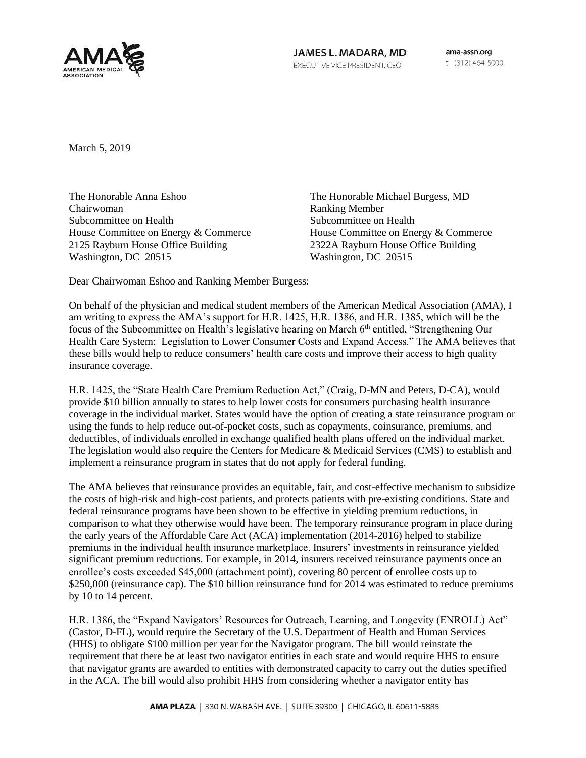

JAMES L. MADARA, MD EXECUTIVE VICE PRESIDENT, CEO

ama-assn.org t (312) 464-5000

March 5, 2019

The Honorable Anna Eshoo Chairwoman Subcommittee on Health House Committee on Energy & Commerce 2125 Rayburn House Office Building Washington, DC 20515

The Honorable Michael Burgess, MD Ranking Member Subcommittee on Health House Committee on Energy & Commerce 2322A Rayburn House Office Building Washington, DC 20515

Dear Chairwoman Eshoo and Ranking Member Burgess:

On behalf of the physician and medical student members of the American Medical Association (AMA), I am writing to express the AMA's support for H.R. 1425, H.R. 1386, and H.R. 1385, which will be the focus of the Subcommittee on Health's legislative hearing on March 6<sup>th</sup> entitled, "Strengthening Our Health Care System: Legislation to Lower Consumer Costs and Expand Access." The AMA believes that these bills would help to reduce consumers' health care costs and improve their access to high quality insurance coverage.

H.R. 1425, the "State Health Care Premium Reduction Act," (Craig, D-MN and Peters, D-CA), would provide \$10 billion annually to states to help lower costs for consumers purchasing health insurance coverage in the individual market. States would have the option of creating a state reinsurance program or using the funds to help reduce out-of-pocket costs, such as copayments, coinsurance, premiums, and deductibles, of individuals enrolled in exchange qualified health plans offered on the individual market. The legislation would also require the Centers for Medicare & Medicaid Services (CMS) to establish and implement a reinsurance program in states that do not apply for federal funding.

The AMA believes that reinsurance provides an equitable, fair, and cost-effective mechanism to subsidize the costs of high-risk and high-cost patients, and protects patients with pre-existing conditions. State and federal reinsurance programs have been shown to be effective in yielding premium reductions, in comparison to what they otherwise would have been. The temporary reinsurance program in place during the early years of the Affordable Care Act (ACA) implementation (2014-2016) helped to stabilize premiums in the individual health insurance marketplace. Insurers' investments in reinsurance yielded significant premium reductions. For example, in 2014, insurers received reinsurance payments once an enrollee's costs exceeded \$45,000 (attachment point), covering 80 percent of enrollee costs up to \$250,000 (reinsurance cap). The \$10 billion reinsurance fund for 2014 was estimated to reduce premiums by 10 to 14 percent.

H.R. 1386, the "Expand Navigators' Resources for Outreach, Learning, and Longevity (ENROLL) Act" (Castor, D-FL), would require the Secretary of the U.S. Department of Health and Human Services (HHS) to obligate \$100 million per year for the Navigator program. The bill would reinstate the requirement that there be at least two navigator entities in each state and would require HHS to ensure that navigator grants are awarded to entities with demonstrated capacity to carry out the duties specified in the ACA. The bill would also prohibit HHS from considering whether a navigator entity has